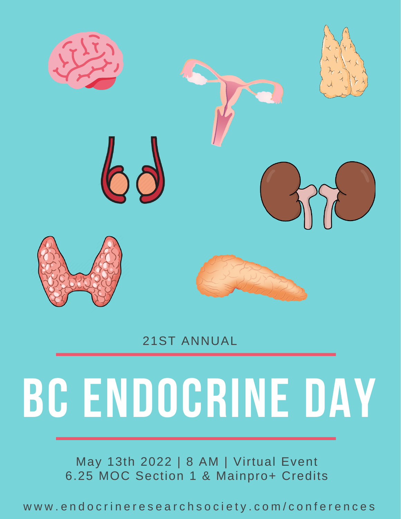

#### 21ST ANNUAL

# **BC ENDOCRINE DAY**

May 13th 2022 | 8 AM | Virtual Event 6.25 MOC Section 1 & Mainpro+ Credits

www.endocrineresearchsociety.com/conferences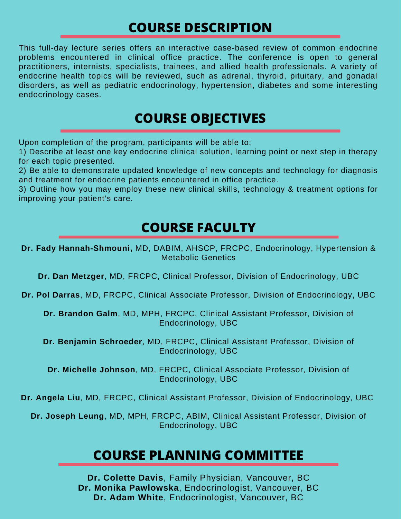#### **COURSE DESCRIPTION**

This full-day lecture series offers an interactive case-based review of common endocrine problems encountered in clinical office practice. The conference is open to general practitioners, internists, specialists, trainees, and allied health professionals. A variety of endocrine health topics will be reviewed, such as adrenal, thyroid, pituitary, and gonadal disorders, as well as pediatric endocrinology, hypertension, diabetes and some interesting endocrinology cases.

#### **COURSE OBJECTIVES**

Upon completion of the program, participants will be able to:

1) Describe at least one key endocrine clinical solution, learning point or next step in therapy for each topic presented.

2) Be able to demonstrate updated knowledge of new concepts and technology for diagnosis and treatment for endocrine patients encountered in office practice.

3) Outline how you may employ these new clinical skills, technology & treatment options for improving your patient's care.

### **COURSE FACULTY**

**Dr. Fady Hannah-Shmouni,** MD, DABIM, AHSCP, FRCPC, Endocrinology, Hypertension & Metabolic Genetics

**Dr. Dan Metzger**, MD, FRCPC, Clinical Professor, Division of Endocrinology, UBC

**Dr. Pol Darras**, MD, FRCPC, Clinical Associate Professor, Division of Endocrinology, UBC

**Dr. Brandon Galm**, MD, MPH, FRCPC, Clinical Assistant Professor, Division of Endocrinology, UBC

**Dr. Benjamin Schroeder**, MD, FRCPC, Clinical Assistant Professor, Division of Endocrinology, UBC

**Dr. Michelle Johnson**, MD, FRCPC, Clinical Associate Professor, Division of Endocrinology, UBC

**Dr. Angela Liu**, MD, FRCPC, Clinical Assistant Professor, Division of Endocrinology, UBC

**Dr. Joseph Leung**, MD, MPH, FRCPC, ABIM, Clinical Assistant Professor, Division of Endocrinology, UBC

#### **COURSE PLANNING COMMITTEE**

**Dr. Colette Davis**, Family Physician, Vancouver, BC **Dr. Monika Pawlowska**, Endocrinologist, Vancouver, BC **Dr. Adam White**, Endocrinologist, Vancouver, BC